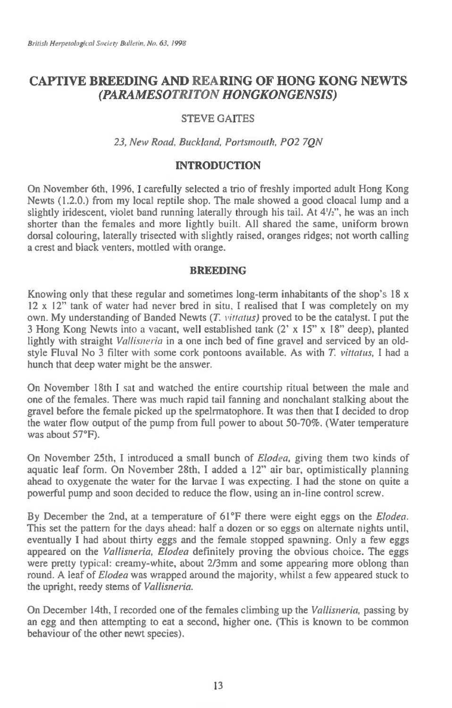# **CAPTIVE BREEDING AND REARING OF HONG KONG NEWTS**  *(PARAMESOTRITON HONGKONGENSIS)*

# STEVE GAITES

### *23, New Road, Buckland, Portsmouth, P02 7QN*

## **INTRODUCTION**

On November 6th, 1996, I carefully selected a trio of freshly imported adult Hong Kong Newts (1.2.0.) from my local reptile shop. The male showed a good cloacal lump and a slightly iridescent, violet band running laterally through his tail. At  $4\frac{1}{2}$ , he was an inch shorter than the females and more lightly built. All shared the same, uniform brown dorsal colouring, laterally trisected with slightly raised, oranges ridges; not worth calling a crest and black venters, mottled with orange.

#### **BREEDING**

Knowing only that these regular and sometimes long-term inhabitants of the shop's  $18 \times$ 12 x 12" tank of water had never bred in situ, I realised that I was completely on my own. My understanding of Banded Newts *(T. vittatus)* proved to be the catalyst. I put the 3 Hong Kong Newts into a vacant, well established tank (2' x 15" x 18" deep), planted lightly with straight *Vallisneria* in a one inch bed of fine gravel and serviced by an oldstyle Fluval No 3 filter with some cork pontoons available. As with *T. vittatus,* I had a hunch that deep water might be the answer.

On November 18th I *sat* and watched the entire courtship ritual between the male and one of the females. There was much rapid tail fanning and nonchalant stalking about the gravel before the female picked up the spelrmatophore. It was then that I decided to drop the water flow output of the pump from full power to about 50-70%. (Water temperature was about 57°F).

On November 25th, I introduced a small bunch of *Elodea,* giving them two kinds of aquatic leaf form. On November 28th, I added a 12" air bar, optimistically planning ahead to oxygenate the water for the larvae I was expecting. I had the stone on quite a powerful pump and soon decided to reduce the flow, using an in-line control screw.

By December the 2nd, at a temperature of 61°F there were eight eggs on the *Elodea.*  This set the pattern for the days ahead: half a dozen or so eggs on alternate nights until, eventually I had about thirty eggs and the female stopped spawning. Only a few eggs appeared on the *Vallisneria, Elodea* definitely proving the obvious choice. The eggs were pretty typical: creamy-white, about 2/3mm and some appearing more oblong than round. A leaf of *Elodea* was wrapped around the majority, whilst a few appeared stuck to the upright, reedy stems of *Vallisneria.* 

On December 14th, I recorded one of the females climbing up the *Vallisneria,* passing by an egg and then attempting to eat a second, higher one. (This is known to be common behaviour of the other newt species).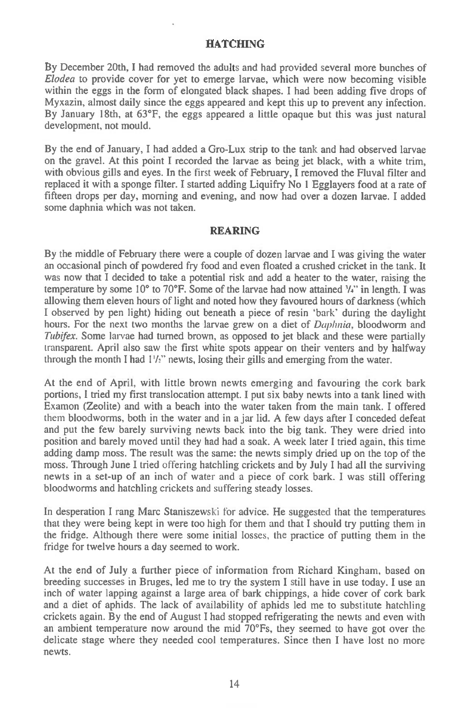#### **HATCHING**

By December 20th, I had removed the adults and had provided several more bunches of *Elodea* to provide cover for yet to emerge larvae, which were now becoming visible within the eggs in the form of elongated black shapes. I had been adding five drops of Myxazin, almost daily since the eggs appeared and kept this up to prevent any infection. By January 18th, at 63°F, the eggs appeared a little opaque but this was just natural development, not mould.

By the end of January, I had added a Gro-Lux strip to the tank and had observed larvae on the gravel. At this point I recorded the larvae as being jet black, with a white trim, with obvious gills and eyes. In the first week of February, I removed the Fluval filter and replaced it with a sponge filter. I started adding Liquifry No 1 Egglayers food at a rate of fifteen drops per day, morning and evening, and now had over a dozen larvae. I added some daphnia which was not taken.

#### **REARING**

By the middle of February there were a couple of dozen larvae and I was giving the water an occasional pinch of powdered fry food and even floated a crushed cricket in the tank. It was now that I decided to take a potential risk and add a heater to the water, raising the temperature by some 10° to 70°F. Some of the larvae had now attained  $\frac{1}{4}$  in length. I was allowing them eleven hours of light and noted how they favoured hours of darkness (which I observed by pen light) hiding out beneath a piece of resin 'bark' during the daylight hours. For the next two months the larvae grew on a diet of *Daphnia,* bloodworm and *Tubifex*. Some larvae had turned brown, as opposed to jet black and these were partially **transparent. April also saw** the first white spots appear on their venters and by halfway through the month I had 1'/2" newts, losing their gills and emerging from the water.

At the end of April, with little brown newts emerging and favouring the cork bark portions, I tried my first translocation attempt. I put six baby newts into a tank lined with Examon (Zeolite) and with a beach into the water taken from the main tank. I offered them bloodworms, both in the water and in a jar lid. A few days after I conceded defeat and put the few barely surviving newts back into the big tank. They were dried into position and barely moved until they had had a soak. A week later I tried again, this time adding damp moss. The result was the same: the newts simply dried up on the top of the moss. Through June I tried offering hatchling crickets and by July I had all the surviving newts in a set-up of an inch of water and a piece of cork bark. I was still offering bloodworms and hatchling crickets and suffering steady losses.

In desperation I rang Marc Staniszewski for advice. He suggested that the temperatures that they were being kept in were too high for them and that I should try putting them in the fridge. Although there were some initial losses, the practice of putting them in the fridge for twelve hours a day seemed to work.

At the end of July a further piece of information from Richard Kingham, based on breeding successes in Bruges, led me to try the system I still have in use today. I use an inch of water lapping against a large area of bark chippings, a hide cover of cork bark and a diet of aphids. The lack of availability of aphids led me to substitute hatchling crickets again. By the end of August I had stopped refrigerating the newts and even with an ambient temperature now around the mid 70°Fs, they seemed to have got over the delicate stage where they needed cool temperatures. Since then I have lost no more newts.